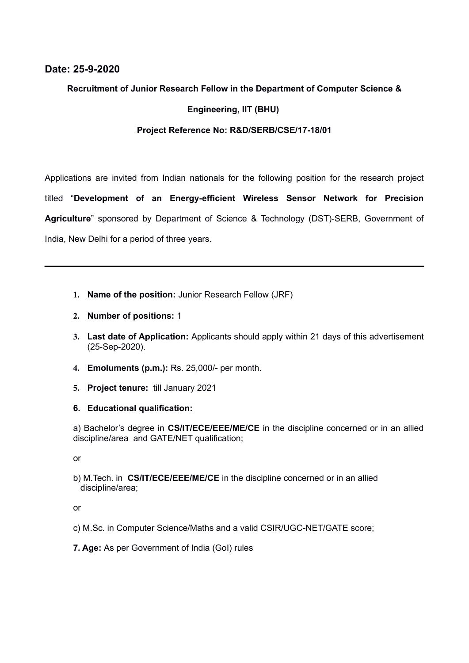#### **Date: 25-9-2020**

#### **Recruitment of Junior Research Fellow in the Department of Computer Science &**

#### **Engineering, IIT (BHU)**

#### **Project Reference No: R&D/SERB/CSE/17-18/01**

Applications are invited from Indian nationals for the following position for the research project titled "**Development of an Energy-efficient Wireless Sensor Network for Precision Agriculture**" sponsored by Department of Science & Technology (DST)-SERB, Government of India, New Delhi for a period of three years.

- **1. Name of the position:** Junior Research Fellow (JRF)
- **2. Number of positions:** 1
- **3. Last date of Application:** Applicants should apply within 21 days of this advertisement (25-Sep-2020).
- **4. Emoluments (p.m.):** Rs. 25,000/- per month.
- **5. Project tenure:** till January 2021
- **6. Educational qualification:**

a) Bachelor's degree in **CS/IT/ECE/EEE/ME/CE** in the discipline concerned or in an allied discipline/area and GATE/NET qualification;

or

b) M.Tech. in **CS/IT/ECE/EEE/ME/CE** in the discipline concerned or in an allied discipline/area;

or

- c) M.Sc. in Computer Science/Maths and a valid CSIR/UGC-NET/GATE score;
- **7. Age:** As per Government of India (GoI) rules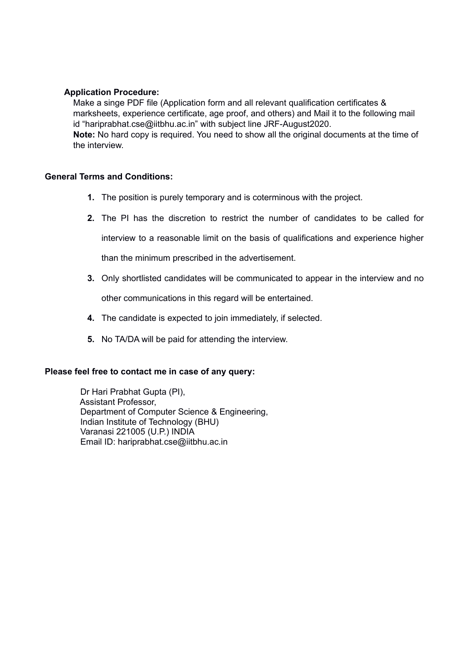#### **Application Procedure:**

Make a singe PDF file (Application form and all relevant qualification certificates & marksheets, experience certificate, age proof, and others) and Mail it to the following mail id "hariprabhat.cse@iitbhu.ac.in" with subject line JRF-August2020. **Note:** No hard copy is required. You need to show all the original documents at the time of the interview.

#### **General Terms and Conditions:**

- **1.** The position is purely temporary and is coterminous with the project.
- **2.** The PI has the discretion to restrict the number of candidates to be called for

interview to a reasonable limit on the basis of qualifications and experience higher

than the minimum prescribed in the advertisement.

- **3.** Only shortlisted candidates will be communicated to appear in the interview and no other communications in this regard will be entertained.
- **4.** The candidate is expected to join immediately, if selected.
- **5.** No TA/DA will be paid for attending the interview.

#### **Please feel free to contact me in case of any query:**

 Dr Hari Prabhat Gupta (PI), Assistant Professor, Department of Computer Science & Engineering, Indian Institute of Technology (BHU) Varanasi 221005 (U.P.) INDIA Email ID: hariprabhat.cse@iitbhu.ac.in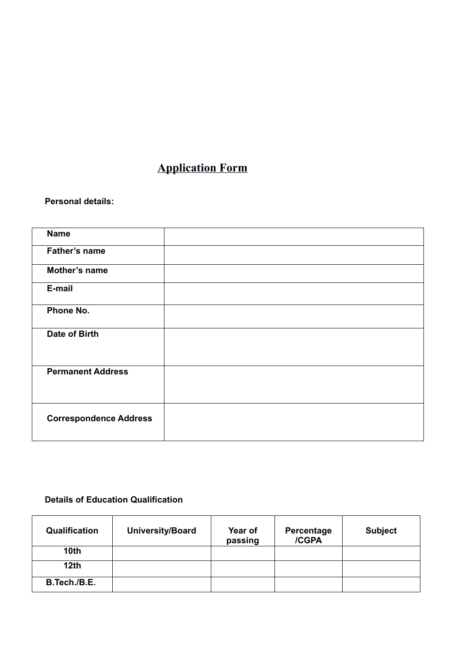# **Application Form**

#### **Personal details:**

| <b>Name</b>                   |  |
|-------------------------------|--|
| Father's name                 |  |
| Mother's name                 |  |
| E-mail                        |  |
| Phone No.                     |  |
| Date of Birth                 |  |
| <b>Permanent Address</b>      |  |
| <b>Correspondence Address</b> |  |

### **Details of Education Qualification**

| Qualification    | <b>University/Board</b> | Year of<br>passing | Percentage<br>/CGPA | <b>Subject</b> |
|------------------|-------------------------|--------------------|---------------------|----------------|
| 10 <sub>th</sub> |                         |                    |                     |                |
| 12th             |                         |                    |                     |                |
| B.Tech./B.E.     |                         |                    |                     |                |